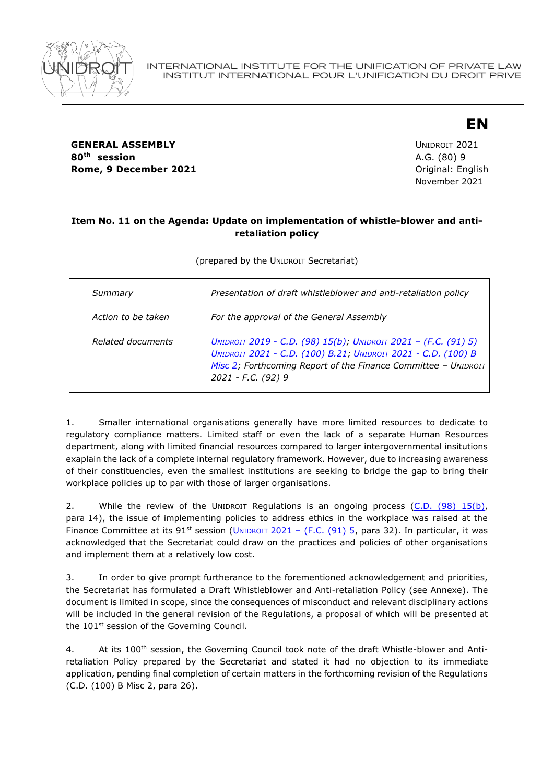

**GENERAL ASSEMBLY CONSUMING A SERVICE 2021 80th session** A.G. (80) 9 **Rome, 9 December 2021 Constanting Constanting Constanting Constanting Constanting Constanting Constanting Constanting Constanting Constanting Constanting Constanting Constanting Constanting Constanting Constanting Const** 

November 2021

**EN**

# **Item No. 11 on the Agenda: Update on implementation of whistle-blower and antiretaliation policy**

(prepared by the UNIDROIT Secretariat)

| Summary            | Presentation of draft whistleblower and anti-retaliation policy                                                                                                                                                                 |
|--------------------|---------------------------------------------------------------------------------------------------------------------------------------------------------------------------------------------------------------------------------|
| Action to be taken | For the approval of the General Assembly                                                                                                                                                                                        |
| Related documents  | <u> Unidroit 2019 - C.D. (98) 15(b); Unidroit 2021 – (F.C. (91) 5)</u><br>UNIDROIT 2021 - C.D. (100) B.21; UNIDROIT 2021 - C.D. (100) B<br>Misc 2; Forthcoming Report of the Finance Committee - UNIDROIT<br>2021 - F.C. (92) 9 |

1. Smaller international organisations generally have more limited resources to dedicate to regulatory compliance matters. Limited staff or even the lack of a separate Human Resources department, along with limited financial resources compared to larger intergovernmental insitutions exaplain the lack of a complete internal regulatory framework. However, due to increasing awareness of their constituencies, even the smallest institutions are seeking to bridge the gap to bring their workplace policies up to par with those of larger organisations.

2. While the review of the UNIDROIT Regulations is an ongoing process [\(C.D. \(98\) 15\(b\),](https://www.unidroit.org/english/governments/councildocuments/2019session/cd-98-15b-e.pdf) para 14), the issue of implementing policies to address ethics in the workplace was raised at the Finance Committee at its 91<sup>st</sup> session (UNIDROIT 2021 - (F.C. (91) 5, para 32). In particular, it was acknowledged that the Secretariat could draw on the practices and policies of other organisations and implement them at a relatively low cost.

3. In order to give prompt furtherance to the forementioned acknowledgement and priorities, the Secretariat has formulated a Draft Whistleblower and Anti-retaliation Policy (see Annexe). The document is limited in scope, since the consequences of misconduct and relevant disciplinary actions will be included in the general revision of the Regulations, a proposal of which will be presented at the 101<sup>st</sup> session of the Governing Council.

4. At its 100<sup>th</sup> session, the Governing Council took note of the draft Whistle-blower and Antiretaliation Policy prepared by the Secretariat and stated it had no objection to its immediate application, pending final completion of certain matters in the forthcoming revision of the Regulations (C.D. (100) B Misc 2, para 26).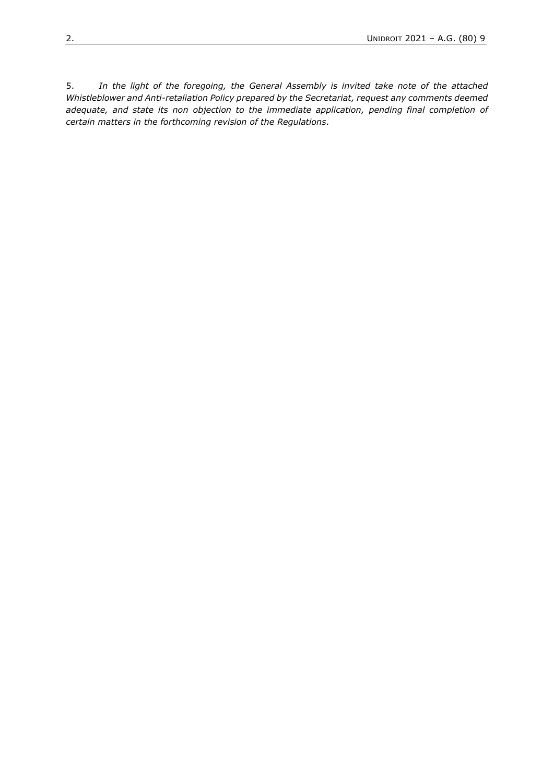5. *In the light of the foregoing, the General Assembly is invited take note of the attached Whistleblower and Anti-retaliation Policy prepared by the Secretariat, request any comments deemed adequate, and state its non objection to the immediate application, pending final completion of certain matters in the forthcoming revision of the Regulations.*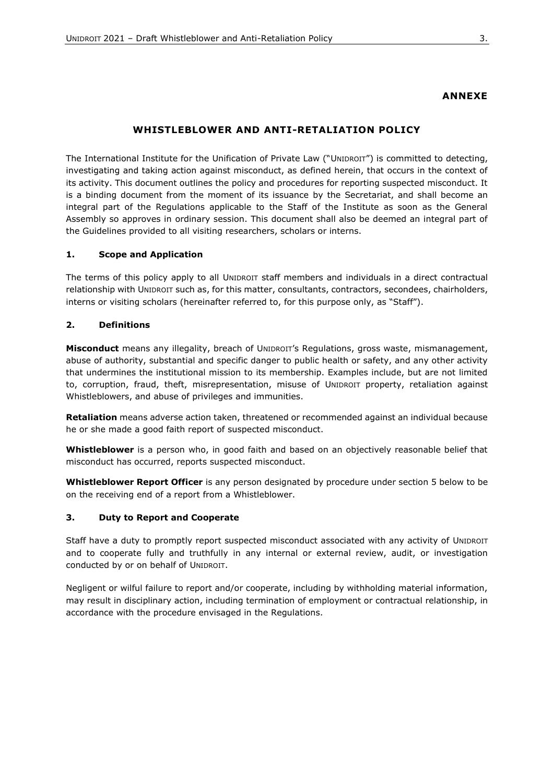### **ANNEXE**

# **WHISTLEBLOWER AND ANTI-RETALIATION POLICY**

The International Institute for the Unification of Private Law ("UNIDROIT") is committed to detecting, investigating and taking action against misconduct, as defined herein, that occurs in the context of its activity. This document outlines the policy and procedures for reporting suspected misconduct. It is a binding document from the moment of its issuance by the Secretariat, and shall become an integral part of the Regulations applicable to the Staff of the Institute as soon as the General Assembly so approves in ordinary session. This document shall also be deemed an integral part of the Guidelines provided to all visiting researchers, scholars or interns.

#### **1. Scope and Application**

The terms of this policy apply to all UNIDROIT staff members and individuals in a direct contractual relationship with UNIDROIT such as, for this matter, consultants, contractors, secondees, chairholders, interns or visiting scholars (hereinafter referred to, for this purpose only, as "Staff").

### **2. Definitions**

**Misconduct** means any illegality, breach of UNIDROIT's Regulations, gross waste, mismanagement, abuse of authority, substantial and specific danger to public health or safety, and any other activity that undermines the institutional mission to its membership. Examples include, but are not limited to, corruption, fraud, theft, misrepresentation, misuse of UNIDROIT property, retaliation against Whistleblowers, and abuse of privileges and immunities.

**Retaliation** means adverse action taken, threatened or recommended against an individual because he or she made a good faith report of suspected misconduct.

**Whistleblower** is a person who, in good faith and based on an objectively reasonable belief that misconduct has occurred, reports suspected misconduct.

**Whistleblower Report Officer** is any person designated by procedure under section 5 below to be on the receiving end of a report from a Whistleblower.

### **3. Duty to Report and Cooperate**

Staff have a duty to promptly report suspected misconduct associated with any activity of UNIDROIT and to cooperate fully and truthfully in any internal or external review, audit, or investigation conducted by or on behalf of UNIDROIT.

Negligent or wilful failure to report and/or cooperate, including by withholding material information, may result in disciplinary action, including termination of employment or contractual relationship, in accordance with the procedure envisaged in the Regulations.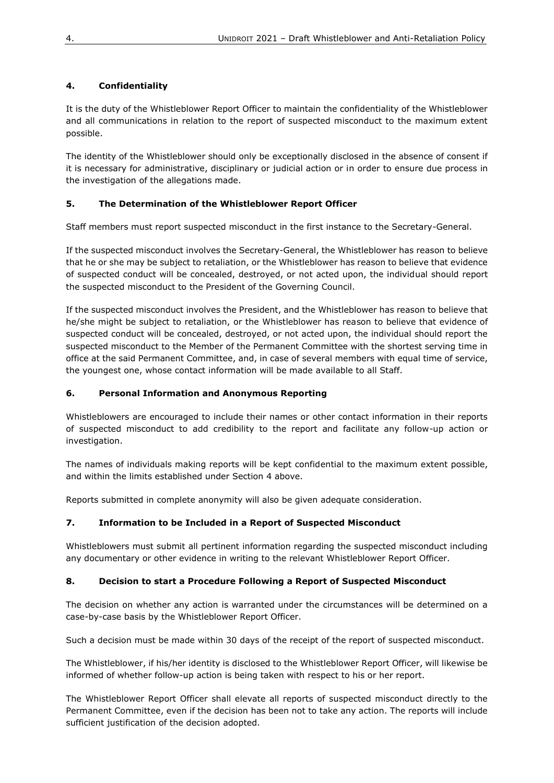# **4. Confidentiality**

It is the duty of the Whistleblower Report Officer to maintain the confidentiality of the Whistleblower and all communications in relation to the report of suspected misconduct to the maximum extent possible.

The identity of the Whistleblower should only be exceptionally disclosed in the absence of consent if it is necessary for administrative, disciplinary or judicial action or in order to ensure due process in the investigation of the allegations made.

# **5. The Determination of the Whistleblower Report Officer**

Staff members must report suspected misconduct in the first instance to the Secretary-General.

If the suspected misconduct involves the Secretary-General, the Whistleblower has reason to believe that he or she may be subject to retaliation, or the Whistleblower has reason to believe that evidence of suspected conduct will be concealed, destroyed, or not acted upon, the individual should report the suspected misconduct to the President of the Governing Council.

If the suspected misconduct involves the President, and the Whistleblower has reason to believe that he/she might be subject to retaliation, or the Whistleblower has reason to believe that evidence of suspected conduct will be concealed, destroyed, or not acted upon, the individual should report the suspected misconduct to the Member of the Permanent Committee with the shortest serving time in office at the said Permanent Committee, and, in case of several members with equal time of service, the youngest one, whose contact information will be made available to all Staff.

# **6. Personal Information and Anonymous Reporting**

Whistleblowers are encouraged to include their names or other contact information in their reports of suspected misconduct to add credibility to the report and facilitate any follow-up action or investigation.

The names of individuals making reports will be kept confidential to the maximum extent possible, and within the limits established under Section 4 above.

Reports submitted in complete anonymity will also be given adequate consideration.

# **7. Information to be Included in a Report of Suspected Misconduct**

Whistleblowers must submit all pertinent information regarding the suspected misconduct including any documentary or other evidence in writing to the relevant Whistleblower Report Officer.

## **8. Decision to start a Procedure Following a Report of Suspected Misconduct**

The decision on whether any action is warranted under the circumstances will be determined on a case-by-case basis by the Whistleblower Report Officer.

Such a decision must be made within 30 days of the receipt of the report of suspected misconduct.

The Whistleblower, if his/her identity is disclosed to the Whistleblower Report Officer, will likewise be informed of whether follow-up action is being taken with respect to his or her report.

The Whistleblower Report Officer shall elevate all reports of suspected misconduct directly to the Permanent Committee, even if the decision has been not to take any action. The reports will include sufficient justification of the decision adopted.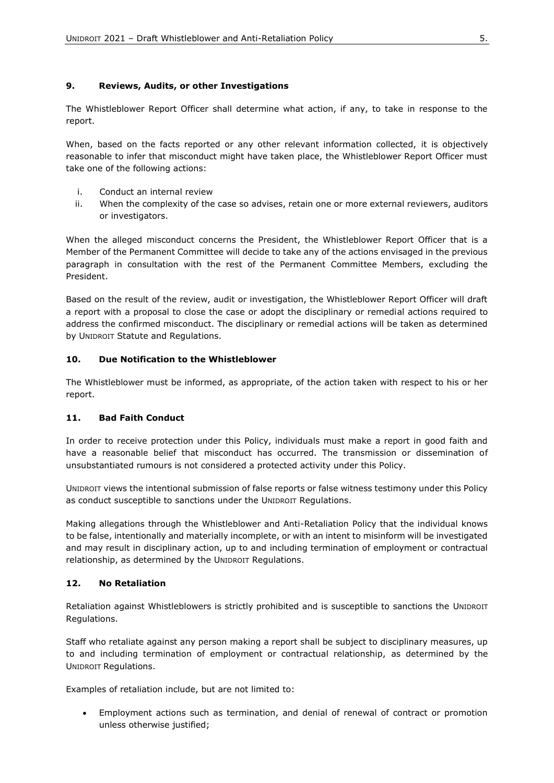## **9. Reviews, Audits, or other Investigations**

The Whistleblower Report Officer shall determine what action, if any, to take in response to the report.

When, based on the facts reported or any other relevant information collected, it is objectively reasonable to infer that misconduct might have taken place, the Whistleblower Report Officer must take one of the following actions:

- i. Conduct an internal review
- ii. When the complexity of the case so advises, retain one or more external reviewers, auditors or investigators.

When the alleged misconduct concerns the President, the Whistleblower Report Officer that is a Member of the Permanent Committee will decide to take any of the actions envisaged in the previous paragraph in consultation with the rest of the Permanent Committee Members, excluding the President.

Based on the result of the review, audit or investigation, the Whistleblower Report Officer will draft a report with a proposal to close the case or adopt the disciplinary or remedial actions required to address the confirmed misconduct. The disciplinary or remedial actions will be taken as determined by UNIDROIT Statute and Regulations.

## **10. Due Notification to the Whistleblower**

The Whistleblower must be informed, as appropriate, of the action taken with respect to his or her report.

### **11. Bad Faith Conduct**

In order to receive protection under this Policy, individuals must make a report in good faith and have a reasonable belief that misconduct has occurred. The transmission or dissemination of unsubstantiated rumours is not considered a protected activity under this Policy.

UNIDROIT views the intentional submission of false reports or false witness testimony under this Policy as conduct susceptible to sanctions under the UNIDROIT Regulations.

Making allegations through the Whistleblower and Anti-Retaliation Policy that the individual knows to be false, intentionally and materially incomplete, or with an intent to misinform will be investigated and may result in disciplinary action, up to and including termination of employment or contractual relationship, as determined by the UNIDROIT Regulations.

### **12. No Retaliation**

Retaliation against Whistleblowers is strictly prohibited and is susceptible to sanctions the UNIDROIT Regulations.

Staff who retaliate against any person making a report shall be subject to disciplinary measures, up to and including termination of employment or contractual relationship, as determined by the UNIDROIT Regulations.

Examples of retaliation include, but are not limited to:

• Employment actions such as termination, and denial of renewal of contract or promotion unless otherwise justified;